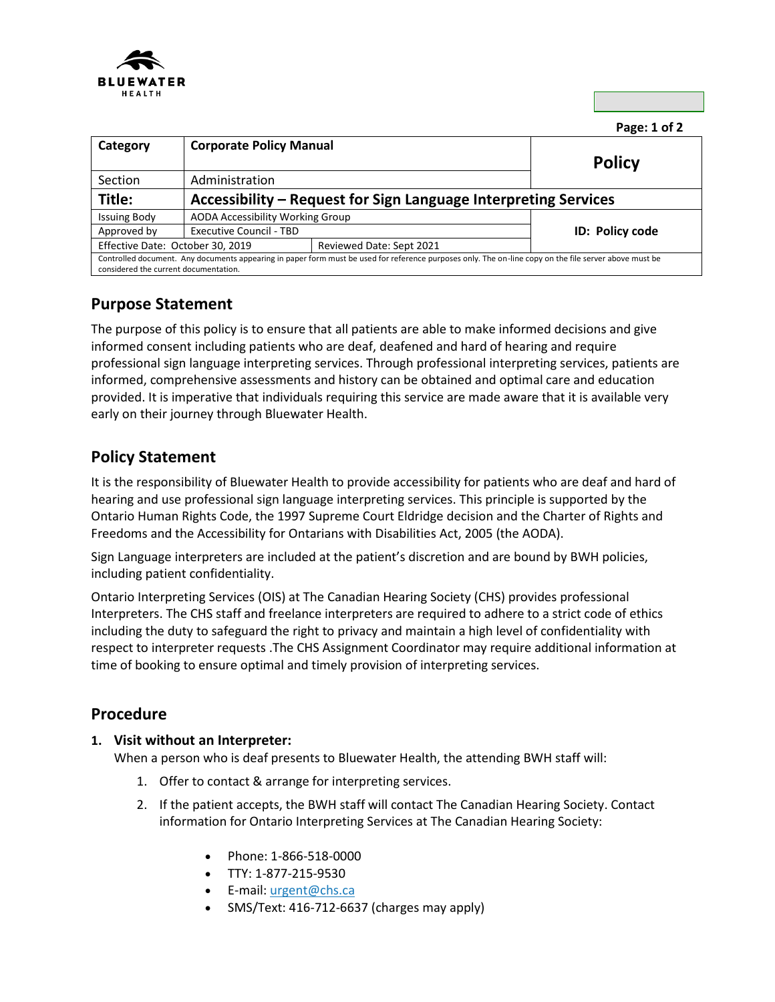

**Page: 1 of 2** 

| Category                                                                                                                                                                                        | <b>Corporate Policy Manual</b>                                  |                          | <b>Policy</b>   |  |
|-------------------------------------------------------------------------------------------------------------------------------------------------------------------------------------------------|-----------------------------------------------------------------|--------------------------|-----------------|--|
| Section                                                                                                                                                                                         | Administration                                                  |                          |                 |  |
| Title:                                                                                                                                                                                          | Accessibility - Request for Sign Language Interpreting Services |                          |                 |  |
| <b>Issuing Body</b>                                                                                                                                                                             | AODA Accessibility Working Group                                |                          |                 |  |
| Approved by                                                                                                                                                                                     | <b>Executive Council - TBD</b>                                  |                          | ID: Policy code |  |
| Effective Date: October 30, 2019                                                                                                                                                                |                                                                 | Reviewed Date: Sept 2021 |                 |  |
| Controlled document. Any documents appearing in paper form must be used for reference purposes only. The on-line copy on the file server above must be<br>considered the current documentation. |                                                                 |                          |                 |  |

# **Purpose Statement**

The purpose of this policy is to ensure that all patients are able to make informed decisions and give informed consent including patients who are deaf, deafened and hard of hearing and require professional sign language interpreting services. Through professional interpreting services, patients are informed, comprehensive assessments and history can be obtained and optimal care and education provided. It is imperative that individuals requiring this service are made aware that it is available very early on their journey through Bluewater Health.

## **Policy Statement**

It is the responsibility of Bluewater Health to provide accessibility for patients who are deaf and hard of hearing and use professional sign language interpreting services. This principle is supported by the Ontario Human Rights Code, the 1997 Supreme Court Eldridge decision and the Charter of Rights and Freedoms and the Accessibility for Ontarians with Disabilities Act, 2005 (the AODA).

Sign Language interpreters are included at the patient's discretion and are bound by BWH policies, including patient confidentiality.

Ontario Interpreting Services (OIS) at The Canadian Hearing Society (CHS) provides professional Interpreters. The CHS staff and freelance interpreters are required to adhere to a strict code of ethics including the duty to safeguard the right to privacy and maintain a high level of confidentiality with respect to interpreter requests .The CHS Assignment Coordinator may require additional information at time of booking to ensure optimal and timely provision of interpreting services.

### **Procedure**

#### **1. Visit without an Interpreter:**

When a person who is deaf presents to Bluewater Health, the attending BWH staff will:

- 1. Offer to contact & arrange for interpreting services.
- 2. If the patient accepts, the BWH staff will contact The Canadian Hearing Society. Contact information for Ontario Interpreting Services at The Canadian Hearing Society:
	- Phone: 1-866-518-0000
	- TTY: 1-877-215-9530
	- **E-mail: [urgent@chs.ca](mailto:urgent@chs.ca)**
	- SMS/Text: 416-712-6637 (charges may apply)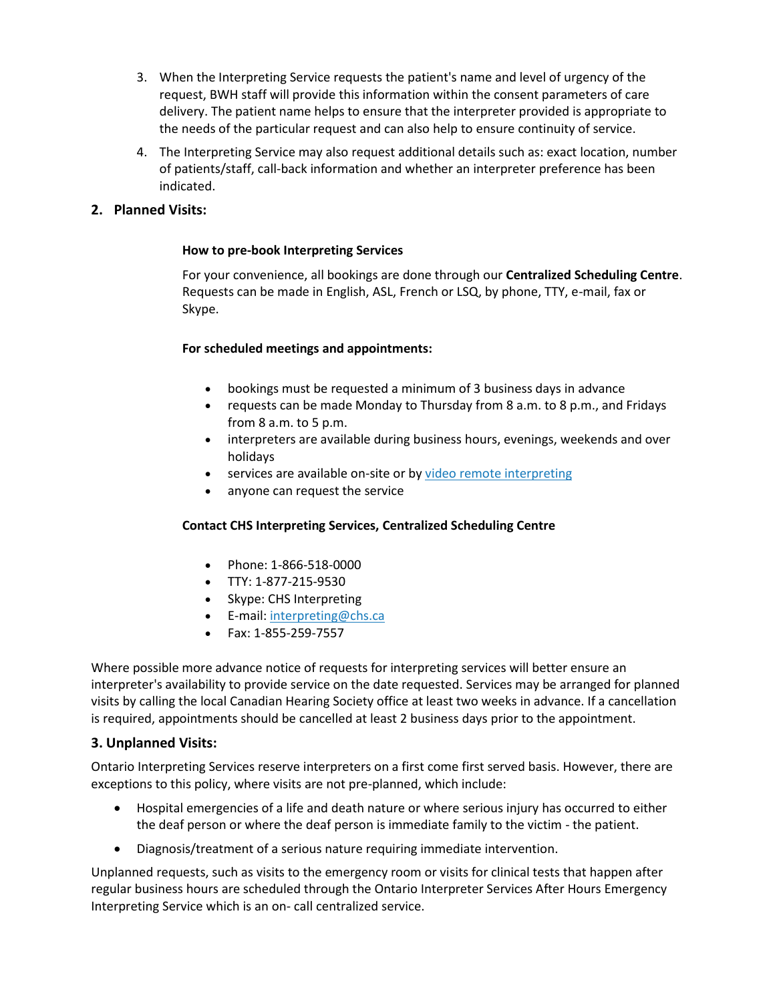- 3. When the Interpreting Service requests the patient's name and level of urgency of the request, BWH staff will provide this information within the consent parameters of care delivery. The patient name helps to ensure that the interpreter provided is appropriate to the needs of the particular request and can also help to ensure continuity of service.
- 4. The Interpreting Service may also request additional details such as: exact location, number of patients/staff, call-back information and whether an interpreter preference has been indicated.

### **2. Planned Visits:**

#### **How to pre-book Interpreting Services**

For your convenience, all bookings are done through our **Centralized Scheduling Centre**. Requests can be made in English, ASL, French or LSQ, by phone, TTY, e-mail, fax or Skype.

#### **For scheduled meetings and appointments:**

- bookings must be requested a minimum of 3 business days in advance
- requests can be made Monday to Thursday from 8 a.m. to 8 p.m., and Fridays from 8 a.m. to 5 p.m.
- interpreters are available during business hours, evenings, weekends and over holidays
- **•** services are available on-site or by [video remote interpreting](https://www.chs.ca/services/interpreting-services#video)
- anyone can request the service

#### **Contact CHS Interpreting Services, Centralized Scheduling Centre**

- Phone: 1-866-518-0000
- TTY: 1-877-215-9530
- Skype: CHS Interpreting
- E-mail: [interpreting@chs.ca](mailto:interpreting@chs.ca)
- Fax: 1-855-259-7557

Where possible more advance notice of requests for interpreting services will better ensure an interpreter's availability to provide service on the date requested. Services may be arranged for planned visits by calling the local Canadian Hearing Society office at least two weeks in advance. If a cancellation is required, appointments should be cancelled at least 2 business days prior to the appointment.

#### **3. Unplanned Visits:**

Ontario Interpreting Services reserve interpreters on a first come first served basis. However, there are exceptions to this policy, where visits are not pre-planned, which include:

- Hospital emergencies of a life and death nature or where serious injury has occurred to either the deaf person or where the deaf person is immediate family to the victim - the patient.
- Diagnosis/treatment of a serious nature requiring immediate intervention.

Unplanned requests, such as visits to the emergency room or visits for clinical tests that happen after regular business hours are scheduled through the Ontario Interpreter Services After Hours Emergency Interpreting Service which is an on- call centralized service.